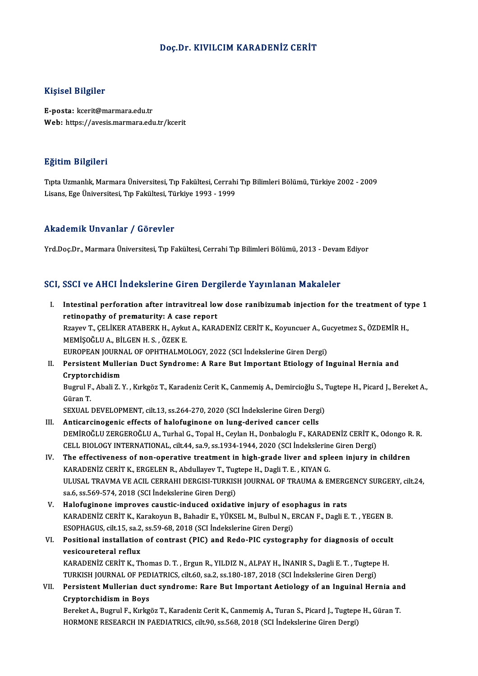### Doç.Dr. KIVILCIMKARADENİZ CERİT

#### Kişisel Bilgiler

E-posta: kcerit@marmara.edu.tr Web: https://avesis.marmara.edu.tr/kcerit

#### Eğitim Bilgileri

**Eğitim Bilgileri**<br>Tıpta Uzmanlık, Marmara Üniversitesi, Tıp Fakültesi, Cerrahi Tıp Bilimleri Bölümü, Türkiye 2002 - 2009<br>Lisans, Fre Üniversitesi, Tıp Fakültesi, Türkiye 1993 - 1999 Lisans, Englisan<br>Tıpta Uzmanlık, Marmara Üniversitesi, Tıp Fakültesi, Cerrahi<br>Lisans, Ege Üniversitesi, Tıp Fakültesi, Türkiye 1993 - 1999 Lisans, Ege Üniversitesi, Tıp Fakültesi, Türkiye 1993 - 1999<br>Akademik Unvanlar / Görevler

Yrd.Doç.Dr., Marmara Üniversitesi, Tıp Fakültesi, Cerrahi Tıp Bilimleri Bölümü, 2013 - Devam Ediyor

## SCI, SSCI ve AHCI İndekslerine Giren Dergilerde Yayınlanan Makaleler

I. Intestinal perforation after intravitreal lowdose ranibizumab injection for the treatment of type 1 retinopathy of prematurity: A case report Intestinal perforation after intravitreal low dose ranibizumab injection for the treatment of ty<br>retinopathy of prematurity: A case report<br>Rzayev T., ÇELİKER ATABERK H., Aykut A., KARADENİZ CERİT K., Koyuncuer A., Gucyetme retinopathy of prematurity: A case<br>Rzayev T., ÇELİKER ATABERK H., Ayku<br>MEMİŞOĞLU A., BİLGEN H. S. , ÖZEK E.<br>FUROPEAN JOUPNAL OF OPHTHALMO Rzayev T., ÇELİKER ATABERK H., Aykut A., KARADENİZ CERİT K., Koyuncuer A., Gu<br>MEMİŞOĞLU A., BİLGEN H. S. , ÖZEK E.<br>EUROPEAN JOURNAL OF OPHTHALMOLOGY, 2022 (SCI İndekslerine Giren Dergi)<br>Persistant Mullerian Dust Sundromau MEMİŞOĞLU A., BİLGEN H. S. , ÖZEK E.<br>EUROPEAN JOURNAL OF OPHTHALMOLOGY, 2022 (SCI İndekslerine Giren Dergi)<br>II. Persistent Mullerian Duct Syndrome: A Rare But Important Etiology of Inguinal Hernia and<br>Cruntorchidism

## EUROPEAN JOURN<br>Persistent Mulle<br>Cryptorchidism<br>Pugwil E. Abeli Z.) Persistent Mullerian Duct Syndrome: A Rare But Important Etiology of Inguinal Hernia and<br>Cryptorchidism<br>Bugrul F., Abali Z.Y., Kırkgöz T., Karadeniz Cerit K., Canmemiş A., Demircioğlu S., Tugtepe H., Picard J., Bereket A.,

C<mark>ryptor</mark><br>Bugrul F<br>Güran T.<br>SEXUAL Bugrul F., Abali Z. Y. , Kırkgöz T., Karadeniz Cerit K., Canmemiş A., Demircioğlu S., 1<br>Güran T.<br>SEXUAL DEVELOPMENT, cilt.13, ss.264-270, 2020 (SCI İndekslerine Giren Dergi)<br>Anticarginogenia effects of balefuginene en lung

Güran T.<br>SEXUAL DEVELOPMENT, cilt.13, ss.264-270, 2020 (SCI İndekslerine Giren Dergi)<br>III. Anticarcinogenic effects of halofuginone on lung-derived cancer cells

- SEXUAL DEVELOPMENT, cilt.13, ss.264-270, 2020 (SCI İndekslerine Giren Dergi)<br><mark>Anticarcinogenic effects of halofuginone on lung-derived cancer cells</mark><br>DEMİROĞLU ZERGEROĞLU A., Turhal G., Topal H., Ceylan H., Donbaloglu F., K Anticarcinogenic effects of halofuginone on lung-derived cancer cells<br>DEMİROĞLU ZERGEROĞLU A., Turhal G., Topal H., Ceylan H., Donbaloglu F., KARADENİZ CERİT K.,<br>CELL BIOLOGY INTERNATIONAL, cilt.44, sa.9, ss.1934-1944, 202 DEMİROĞLU ZERGEROĞLU A., Turhal G., Topal H., Ceylan H., Donbaloglu F., KARADENİZ CERİT K., Odongo R<br>CELL BIOLOGY INTERNATIONAL, cilt.44, sa.9, ss.1934-1944, 2020 (SCI İndekslerine Giren Dergi)<br>IV. The effectiveness of non
- CELL BIOLOGY INTERNATIONAL, cilt.44, sa.9, ss.1934-1944, 2020 (SCI indekslerine Giren Dergi)<br>IV. The effectiveness of non-operative treatment in high-grade liver and spleen injury in children<br>KARADENIZ CERIT K., ERGELEN R. The effectiveness of non-operative treatment in high-grade liver and spleen injury in children<br>KARADENİZ CERİT K., ERGELEN R., Abdullayev T., Tugtepe H., Dagli T. E. , KIYAN G.<br>ULUSAL TRAVMA VE ACIL CERRAHI DERGISI-TURKISH KARADENİZ CERİT K., ERGELEN R., Abdullayev T., Tug<br>ULUSAL TRAVMA VE ACIL CERRAHI DERGISI-TURKIS<br>sa.6, ss.569-574, 2018 (SCI İndekslerine Giren Dergi)<br>Halofuginana impravas saustis indusad avidati:
- V. Halofuginone improves caustic-induced oxidative injury of esophagus in rats sa.6, ss.569-574, 2018 (SCI İndekslerine Giren Dergi)<br>Halofuginone improves caustic-induced oxidative injury of esophagus in rats<br>KARADENİZ CERİT K., Karakoyun B., Bahadir E., YÜKSEL M., Bulbul N., ERCAN F., Dagli E. T. , Halofuginone improves caustic-induced oxidative injury of eso<br>KARADENİZ CERİT K., Karakoyun B., Bahadir E., YÜKSEL M., Bulbul N., E<br>ESOPHAGUS, cilt.15, sa.2, ss.59-68, 2018 (SCI İndekslerine Giren Dergi)<br>Positional install KARADENİZ CERİT K., Karakoyun B., Bahadir E., YÜKSEL M., Bulbul N., ERCAN F., Dagli E. T. , YEGEN B.<br>ESOPHAGUS, cilt.15, sa.2, ss.59-68, 2018 (SCI İndekslerine Giren Dergi)<br>VI. Positional installation of contrast (PIC) and
- ESOPHAGUS, cilt.15, sa.2,<br>Positional installation<br>vesicoureteral reflux<br>KARADENIZ CERIT K. TH Positional installation of contrast (PIC) and Redo-PIC cystography for diagnosis of occul<br>vesicoureteral reflux<br>KARADENİZ CERİT K., Thomas D.T., Ergun R., YILDIZ N., ALPAY H., İNANIR S., Dagli E.T., Tugtepe H.<br>TURKISH JOUR

vesicoureteral reflux<br>KARADENİZ CERİT K., Thomas D. T. , Ergun R., YILDIZ N., ALPAY H., İNANIR S., Dagli E. T. , Tugtepe<br>TURKISH JOURNAL OF PEDIATRICS, cilt.60, sa.2, ss.180-187, 2018 (SCI İndekslerine Giren Dergi)<br>Persist KARADENİZ CERİT K., Thomas D. T. , Ergun R., YILDIZ N., ALPAY H., İNANIR S., Dagli E. T. , Tugtepe H.<br>TURKISH JOURNAL OF PEDIATRICS, cilt.60, sa.2, ss.180-187, 2018 (SCI İndekslerine Giren Dergi)<br>VII. Persistent Mullerian

TURKISH JOURNAL OF PED<br>Persistent Mullerian due<br>Cryptorchidism in Boys<br>Boreket A. Bugnul E. Kulta Persistent Mullerian duct syndrome: Rare But Important Aetiology of an Inguinal Hernia an<br>Cryptorchidism in Boys<br>Bereket A., Bugrul F., Kırkgöz T., Karadeniz Cerit K., Canmemiş A., Turan S., Picard J., Tugtepe H., Güran T.

Cryptorchidism in Boys<br>Bereket A., Bugrul F., Kırkgöz T., Karadeniz Cerit K., Canmemiş A., Turan S., Picard J., Tugtepe H., Güran T.<br>HORMONE RESEARCH IN PAEDIATRICS, cilt.90, ss.568, 2018 (SCI İndekslerine Giren Dergi)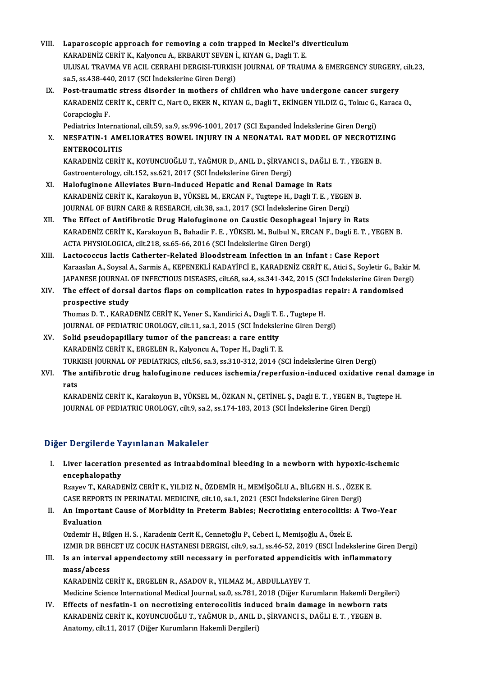- VIII. Laparoscopic approach for removing a coin trapped in Meckel's diverticulum<br>KARADENİZ CEDİT V. Kalvangu A. ERRABLIT SEVEN İ. KIVAN G. Decli T. E Laparoscopic approach for removing a coin trapped in Meckel's di<br>KARADENİZ CERİT K., Kalyoncu A., ERBARUT SEVEN İ., KIYAN G., Dagli T. E.<br>ULUSAL TRAVMA VE ACU, CERRAHI DERÇISI TURKISH IQURNAL OF TRAUN ULUSAL TRAVMA VE ACIL CERRAHI DERGISI-TURKISH JOURNAL OF TRAUMA & EMERGENCY SURGERY, cilt.23,<br>sa.5, ss.438-440, 2017 (SCI İndekslerine Giren Dergi) KARADENİZ CERİT K., Kalyoncu A., ERBARUT SEVEN İ., KIYAN G., Dagli T. E.
- IX. Post-traumatic stress disorder in mothers of children who have undergone cancer surgery sa.5, ss.438-440, 2017 (SCI İndekslerine Giren Dergi)<br>Post-traumatic stress disorder in mothers of children who have undergone cancer surgery<br>KARADENİZ CERİT K., CERİT C., Nart O., EKER N., KIYAN G., Dagli T., EKİNGEN YILD Post-traumat<br>KARADENİZ CI<br>Corapcioglu F.<br>Podiatrics Inter KARADENİZ CERİT K., CERİT C., Nart O., EKER N., KIYAN G., Dagli T., EKİNGEN YILDIZ G., Tokuc G.,<br>Corapcioglu F.<br>Pediatrics International, cilt.59, sa.9, ss.996-1001, 2017 (SCI Expanded İndekslerine Giren Dergi)<br>NESEATIN 1

## Corapcioglu F.<br>Pediatrics International, cilt.59, sa.9, ss.996-1001, 2017 (SCI Expanded Indekslerine Giren Dergi)<br>X. NESFATIN-1 AMELIORATES BOWEL INJURY IN A NEONATAL RAT MODEL OF NECROTIZING Pediatrics Internat<br>NESFATIN-1 AMI<br>ENTEROCOLITIS<br>KARADENIZ CEPIT NESFATIN-1 AMELIORATES BOWEL INJURY IN A NEONATAL RAT MODEL OF NECROTIZ<br>ENTEROCOLITIS<br>KARADENİZ CERİT K., KOYUNCUOĞLU T., YAĞMUR D., ANIL D., ŞİRVANCI S., DAĞLI E. T. , YEGEN B.<br>Cestreenterelegy. silt 152. ss.621.2017.(SCI ENTEROCOLITIS<br>KARADENİZ CERİT K., KOYUNCUOĞLU T., YAĞMUR D., ANIL D., ŞİRVANCI S., DAĞLI E. T. , YEGEN B.<br>Gastroenterology, cilt.152, ss.621, 2017 (SCI İndekslerine Giren Dergi)

- XI. Halofuginone Alleviates Burn-Induced Hepatic and Renal Damage in Rats Gastroenterology, cilt.152, ss.621, 2017 (SCI İndekslerine Giren Dergi)<br>Halofuginone Alleviates Burn-Induced Hepatic and Renal Damage in Rats<br>KARADENİZ CERİT K., Karakoyun B., YÜKSEL M., ERCAN F., Tugtepe H., Dagli T. E. , Halofuginone Alleviates Burn-Induced Hepatic and Renal Damage in Rats<br>KARADENİZ CERİT K., Karakoyun B., YÜKSEL M., ERCAN F., Tugtepe H., Dagli T. E. , YEGEN<br>JOURNAL OF BURN CARE & RESEARCH, cilt.38, sa.1, 2017 (SCI İndeksl KARADENİZ CERİT K., Karakoyun B., YÜKSEL M., ERCAN F., Tugtepe H., Dagli T. E., YEGEN B.<br>JOURNAL OF BURN CARE & RESEARCH, cilt.38, sa.1, 2017 (SCI İndekslerine Giren Dergi)<br>XII. The Effect of Antifibrotic Drug Halofuginone
- JOURNAL OF BURN CARE & RESEARCH, cilt.38, sa.1, 2017 (SCI İndekslerine Giren Dergi)<br>The Effect of Antifibrotic Drug Halofuginone on Caustic Oesophageal Injury in Rats<br>KARADENİZ CERİT K., Karakoyun B., Bahadir F. E. , YÜKSE The Effect of Antifibrotic Drug Halofuginone on Caustic Oesophageal Injury in Rats
- XIII. Lactococcus lactis Catherter-Related Bloodstream Infection in an Infant : Case Report ACTA PHYSIOLOGICA, cilt.218, ss.65-66, 2016 (SCI İndekslerine Giren Dergi)<br>Lactococcus lactis Catherter-Related Bloodstream Infection in an Infant : Case Report<br>Karaaslan A., Soysal A., Sarmis A., KEPENEKLİ KADAYİFCİ E., K Lactococcus lactis Catherter-Related Bloodstream Infection in an Infant : Case Report<br>Karaaslan A., Soysal A., Sarmis A., KEPENEKLI KADAYIFCI E., KARADENIZ CERIT K., Atici S., Soyletir G., Bakir M<br>JAPANESE JOURNAL OF INFEC Karaaslan A., Soysal A., Sarmis A., KEPENEKLİ KADAYİFCİ E., KARADENİZ CERİT K., Atici S., Soyletir G., Bak<br>JAPANESE JOURNAL OF INFECTIOUS DISEASES, cilt.68, sa.4, ss.341-342, 2015 (SCI İndekslerine Giren Der<br>XIV. The effec

## JAPANESE JOURNAL OF INFECTIOUS DISEASES, cilt.68, sa.4, ss.341-342, 2015 (SCI Indekslerine Giren Dergi)<br>The effect of dorsal dartos flaps on complication rates in hypospadias repair: A randomised<br>prospective study

Thomas D.T., KARADENİZ CERİT K., Yener S., Kandirici A., Dagli T.E., Tugtepe H. prospective study<br>Thomas D. T. , KARADENİZ CERİT K., Yener S., Kandirici A., Dagli T. E. , Tugtepe H.<br>JOURNAL OF PEDIATRIC UROLOGY, cilt.11, sa.1, 2015 (SCI İndekslerine Giren Dergi)<br>Selid pseudepenillery tumer of the pene Thomas D.T., KARADENIZ CERIT K., Yener S., Kandirici A., Dagli T. I<br>JOURNAL OF PEDIATRIC UROLOGY, cilt.11, sa.1, 2015 (SCI Indeksles<br>XV. Solid pseudopapillary tumor of the pancreas: a rare entity<br>KARADENIZ CERIT K. ERCELEN

- JOURNAL OF PEDIATRIC UROLOGY, cilt.11, sa.1, 2015 (SCI İndeksleri<br>Solid pseudopapillary tumor of the pancreas: a rare entity<br>KARADENİZ CERİT K., ERGELEN R., Kalyoncu A., Toper H., Dagli T. E.<br>TURKISH JOURNAL OF PEDIATRICS XV. Solid pseudopapillary tumor of the pancreas: a rare entity<br>KARADENİZ CERİT K., ERGELEN R., Kalyoncu A., Toper H., Dagli T. E.<br>TURKISH JOURNAL OF PEDIATRICS, cilt.56, sa.3, ss.310-312, 2014 (SCI İndekslerine Giren Dergi KARADENİZ CERİT K., ERGELEN R., Kalyoncu A., Toper H., Dagli T. E.<br>TURKISH JOURNAL OF PEDIATRICS, cilt.56, sa.3, ss.310-312, 2014 (SCI İndekslerine Giren Dergi)<br>XVI. The antifibrotic drug halofuginone reduces ischemia/
- TURF<br>The<br>rats<br><sup>KAD</sup> The antifibrotic drug halofuginone reduces ischemia/reperfusion-induced oxidative renal d:<br>rats<br>KARADENİZ CERİT K., Karakoyun B., YÜKSEL M., ÖZKAN N., ÇETİNEL Ş., Dagli E. T. , YEGEN B., Tugtepe H.<br>JOUPMAL OE PEDIATRIC URO

rats<br>KARADENİZ CERİT K., Karakoyun B., YÜKSEL M., ÖZKAN N., ÇETİNEL Ş., Dagli E. T. , YEGEN B., Tugtepe H.<br>JOURNAL OF PEDIATRIC UROLOGY, cilt.9, sa.2, ss.174-183, 2013 (SCI İndekslerine Giren Dergi)

## Diğer Dergilerde Yayınlanan Makaleler

I. Liver laceration presented as intraabdominal bleeding in a newborn with hypoxic-ischemic encephalopathy Liver laceration presented as intraabdominal bleeding in a newborn with hypoxic-is<br>encephalopathy<br>Rzayev T., KARADENİZ CERİT K., YILDIZ N., ÖZDEMİR H., MEMİŞOĞLU A., BİLGEN H. S. , ÖZEK E.<br>CASE PEROPTS IN PERINATAL MEDICIN

encephalopathy<br>Rzayev T., KARADENİZ CERİT K., YILDIZ N., ÖZDEMİR H., MEMİŞOĞLU A., BİLGEN H. S. , ÖZEK<br>CASE REPORTS IN PERINATAL MEDICINE, cilt.10, sa.1, 2021 (ESCI İndekslerine Giren Dergi)<br>An Impertant Gause of Merbidity Rzayev T., KARADENİZ CERİT K., YILDIZ N., ÖZDEMİR H., MEMİŞOĞLU A., BİLGEN H. S. , ÖZEK E.<br>CASE REPORTS IN PERINATAL MEDICINE, cilt.10, sa.1, 2021 (ESCI İndekslerine Giren Dergi)<br>II. An Important Cause of Morbidity in

CASE REPORTS IN PERINATAL MEDICINE, cilt.10, sa.1, 2021 (ESCI İndekslerine Giren Dergi)<br>An Important Cause of Morbidity in Preterm Babies; Necrotizing enterocolitis: A<br>Evaluation<br>Ozdemir H., Bilgen H. S., Karadeniz Cerit K II. An Important Cause of Morbidity in Preterm Babies; Necrotizing enterocolitis: A Two-Year

IZMIR DR BEHCET UZ COCUK HASTANESI DERGISI, cilt.9, sa.1, ss.46-52, 2019 (ESCI İndekslerine Giren Dergi) Ozdemir H., Bilgen H. S. , Karadeniz Cerit K., Cennetoğlu P., Cebeci I., Memişoğlu A., Özek E.<br>IZMIR DR BEHCET UZ COCUK HASTANESI DERGISI, cilt.9, sa.1, ss.46-52, 2019 (ESCI İndekslerine Giren<br>III. Is an interval appendect

## IZMIR DR BEH<br>Is an interval<br>mass/abcess<br>KARADENiZ CI Is an interval appendectomy still necessary in perforated appendic<br>mass/abcess<br>KARADENİZ CERİT K., ERGELEN R., ASADOV R., YILMAZ M., ABDULLAYEV T.<br>Medisine Science International Medical Journal ce 0, ce 791–2019 (Dižer Ku mass/abcess<br>KARADENİZ CERİT K., ERGELEN R., ASADOV R., YILMAZ M., ABDULLAYEV T.<br>Medicine Science International Medical Journal, sa.0, ss.781, 2018 (Diğer Kurumların Hakemli Dergileri)

KARADENİZ CERİT K., ERGELEN R., ASADOV R., YILMAZ M., ABDULLAYEV T.<br>Medicine Science International Medical Journal, sa.0, ss.781, 2018 (Diğer Kurumların Hakemli Dergile<br>IV. Effects of nesfatin-1 on necrotizing enterocoliti Medicine Science International Medical Journal, sa.0, ss.781, 2018 (Diğer Kurumların Hakemli Derg<br>Effects of nesfatin-1 on necrotizing enterocolitis induced brain damage in newborn rat<br>KARADENİZ CERİT K., KOYUNCUOĞLU T., Y KARADENİZ CERİT K., KOYUNCUOĞLU T., YAĞMUR D., ANIL D., ŞİRVANCI S., DAĞLI E. T. , YEGEN B.<br>Anatomy, cilt.11, 2017 (Diğer Kurumların Hakemli Dergileri)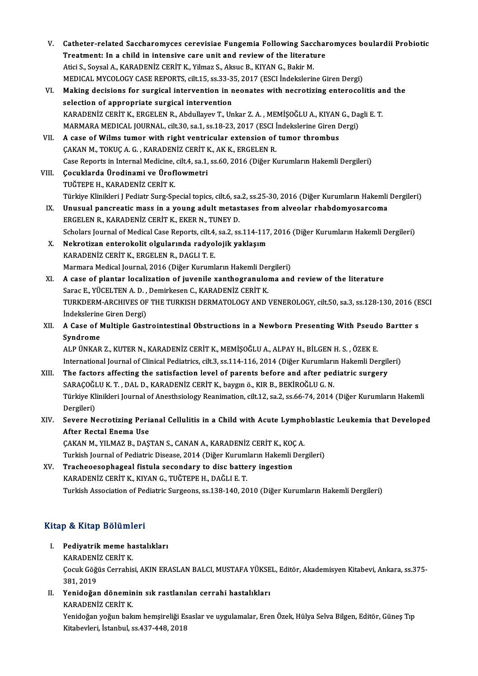- V. Catheter-related Saccharomyces cerevisiae Fungemia Following Saccharomyces boulardii Probiotic<br>Treatment: In a child in intensive sare unit and neview of the literature Catheter-related Saccharomyces cerevisiae Fungemia Following Sacchai<br>Treatment: In a child in intensive care unit and review of the literature Catheter-related Saccharomyces cerevisiae Fungemia Following Saccharomyces cerevisiae Fungemia Following Sacchare<br>Atici S., Soysal A., KARADENİZ CERİT K., Yilmaz S., Aksuc B., KIYAN G., Bakir M.<br>MEDICAL MYCOLOCY CASE BEROP Treatment: In a child in intensive care unit and review of the literature<br>Atici S., Soysal A., KARADENİZ CERİT K., Yilmaz S., Aksuc B., KIYAN G., Bakir M.<br>MEDICAL MYCOLOGY CASE REPORTS, cilt.15, ss.33-35, 2017 (ESCI İndeks Atici S., Soysal A., KARADENİZ CERİT K., Yilmaz S., Aksuc B., KIYAN G., Bakir M.<br>MEDICAL MYCOLOGY CASE REPORTS, cilt.15, ss.33-35, 2017 (ESCI İndekslerine Giren Dergi)<br>VI. Making decisions for surgical intervention in neon MEDICAL MYCOLOGY CASE REPORTS, cilt.15, ss.33-3<br>Making decisions for surgical intervention in n<br>selection of appropriate surgical intervention<br>KARADENIZ CERIT K. ERCELEN R. Abdullavou T. Un Making decisions for surgical intervention in neonates with necrotizing enterocolitis an<br>selection of appropriate surgical intervention<br>KARADENİZ CERİT K., ERGELEN R., Abdullayev T., Unkar Z.A. , MEMİŞOĞLU A., KIYAN G., Da selection of appropriate surgical intervention<br>KARADENİZ CERİT K., ERGELEN R., Abdullayev T., Unkar Z. A. , MEMİŞOĞLU A., KIYAN G., Da<br>MARMARA MEDICAL JOURNAL, cilt.30, sa.1, ss.18-23, 2017 (ESCI İndekslerine Giren Dergi)<br> KARADENİZ CERİT K., ERGELEN R., Abdullayev T., Unkar Z. A. , MEMİŞOĞLU A., KIYAN<br>MARMARA MEDICAL JOURNAL, cilt.30, sa.1, ss.18-23, 2017 (ESCI İndekslerine Giren I<br>VII. A case of Wilms tumor with right ventricular extension MARMARA MEDICAL JOURNAL, cilt.30, sa.1, ss.18-23, 2017 (ESCI İ<br>A case of Wilms tumor with right ventricular extension of<br>ÇAKAN M., TOKUÇ A. G., KARADENİZ CERİT K., AK K., ERGELEN R.<br>Case Bonerts in Internal Medicine, cilt A case of Wilms tumor with right ventricular extension of tumor thrombus<br>ÇAKAN M., TOKUÇ A. G. , KARADENİZ CERİT K., AK K., ERGELEN R.<br>Case Reports in Internal Medicine, cilt.4, sa.1, ss.60, 2016 (Diğer Kurumların Hakemli CAKAN M., TOKUC A. G., KARADENİZ CERİT K., AK K., ERGELEN R.<br>Case Reports in Internal Medicine, cilt.4, sa.1, ss.60, 2016 (Diğer K<br>VIII. Cocuklarda Ürodinami ve Üroflowmetri<br>TUĞTEPE H., KARADENİZ CERİT K. Case Reports in Internal Medicine,<br>Çocuklarda Ürodinami ve Ürofl<br>TUĞTEPE H., KARADENİZ CERİT K.<br>Türkiye Klinikleri I Bedistr Surg Sn Çocuklarda Ürodinami ve Üroflowmetri<br>TUĞTEPE H., KARADENİZ CERİT K.<br>Türkiye Klinikleri J Pediatr Surg-Special topics, cilt.6, sa.2, ss.25-30, 2016 (Diğer Kurumların Hakemli Dergileri) TUĞTEPE H., KARADENİZ CERİT K.<br>Türkiye Klinikleri J Pediatr Surg-Special topics, cilt.6, sa.2, ss.25-30, 2016 (Diğer Kurumların Hakemli<br>IX. Unusual pancreatic mass in a young adult metastases from alveolar rhabdomyosarcoma Türkiye Klinikleri J Pediatr Surg-Special topics, cilt.6, sa<br>Unusual pancreatic mass in a young adult metas<br>ERGELEN R., KARADENİZ CERİT K., EKER N., TUNEY D.<br>Sebelare Journal of Medical Case Benerts, cilt 4, sa 3, sa Unusual pancreatic mass in a young adult metastases from alveolar rhabdomyosarcoma<br>ERGELEN R., KARADENİZ CERİT K., EKER N., TUNEY D.<br>Scholars Journal of Medical Case Reports, cilt.4, sa.2, ss.114-117, 2016 (Diğer Kurumları ERGELEN R., KARADENİZ CERİT K., EKER N., TUNEY D.<br>Scholars Journal of Medical Case Reports, cilt.4, sa.2, ss.114-117<br>X. Nekrotizan enterokolit olgularında radyolojik yaklaşım<br>KARADENİZ CERİT K. ERGELEN B. DACLLT E Scholars Journal of Medical Case Reports, cilt.4,<br>Nekrotizan enterokolit olgularında radyol<br>KARADENİZ CERİT K., ERGELEN R., DAGLI T. E.<br>Marmara Medical Journal 2016 (Dižar Kuruml Nekrotizan enterokolit olgularında radyolojik yaklaşım<br>KARADENİZ CERİT K., ERGELEN R., DAGLI T. E.<br>Marmara Medical Journal, 2016 (Diğer Kurumların Hakemli Dergileri)<br>A.9999 of Plantar losalization of iyyenile yanthosranyla KARADENİZ CERİT K., ERGELEN R., DAGLI T. E.<br>Marmara Medical Journal, 2016 (Diğer Kurumların Hakemli Dergileri)<br>XI. A case of plantar localization of juvenile xanthogranuloma and review of the literature<br>Sarac E., YÜCEL Marmara Medical Journal, 2016 (Diğer Kurumların Hakemli Del<br>A case of plantar localization of juvenile xanthogranuloi<br>Sarac E., YÜCELTEN A.D., Demirkesen C., KARADENİZ CERİT K.<br>TURKDERM ARCHIVES OF THE TURKISH DERMATOLOCY A case of plantar localization of juvenile xanthogranuloma and review of the literature<br>Sarac E., YÜCELTEN A. D. , Demirkesen C., KARADENİZ CERİT K.<br>TURKDERM-ARCHIVES OF THE TURKISH DERMATOLOGY AND VENEROLOGY, cilt.50, sa. Sarac E., YÜCELTEN A. D. ,<br>TURKDERM-ARCHIVES OF<br>İndekslerine Giren Dergi)<br>A Case of Multiple Cast TURKDERM-ARCHIVES OF THE TURKISH DERMATOLOGY AND VENEROLOGY, cilt.50, sa.3, ss.128-130, 2016 (E<br>Indekslerine Giren Dergi)<br>XII. A Case of Multiple Gastrointestinal Obstructions in a Newborn Presenting With Pseudo Bartter s<br> **Indekslerine**<br>A Case of I<br>Syndrome<br>ALP UNKAP A Case of Multiple Gastrointestinal Obstructions in a Newborn Presenting With Pseud<br>Syndrome<br>ALP ÜNKAR Z., KUTER N., KARADENİZ CERİT K., MEMİŞOĞLU A., ALPAY H., BİLGEN H. S. , ÖZEK E.<br>International Journal of Clinical Podi Syndrome<br>ALP ÜNKAR Z., KUTER N., KARADENİZ CERİT K., MEMİŞOĞLU A., ALPAY H., BİLGEN H. S. , ÖZEK E.<br>International Journal of Clinical Pediatrics, cilt.3, ss.114-116, 2014 (Diğer Kurumların Hakemli Dergileri) ALP ÜNKAR Z., KUTER N., KARADENİZ CERİT K., MEMİŞOĞLU A., ALPAY H., BİLGEN H. S. , ÖZEK E.<br>International Journal of Clinical Pediatrics, cilt.3, ss.114-116, 2014 (Diğer Kurumların Hakemli Dergile<br>XIII. The factors affectin International Journal of Clinical Pediatrics, cilt.3, ss.114-116, 2014 (Diğer Kurumları<br>The factors affecting the satisfaction level of parents before and after ped<br>SARAÇOĞLU K. T. , DAL D., KARADENİZ CERİT K., baygın ö., Türkiye Klinikleri Journal of Anesthsiology Reanimation, cilt.12, sa.2, ss.66-74, 2014 (Diğer Kurumların Hakemli<br>Dergileri) SARAÇOĞLU K. T., DAL D., KARADENİZ CERİT K., baygın ö., KIR B., BEKİROĞLU G. N. Türkiye Klinikleri Journal of Anesthsiology Reanimation, cilt.12, sa.2, ss.66-74, 2014 (Diğer Kurumların Hakemli<br>Dergileri)<br>XIV. Severe Necrotizing Perianal Cellulitis in a Child with Acute Lymphoblastic Leukemia that Deve Dergileri)<br>Severe Necrotizing Peri:<br>After Rectal Enema Use<br>CAKAN M. YU MAZ B. DAS Severe Necrotizing Perianal Cellulitis in a Child with Acute Lymph<br>After Rectal Enema Use<br>ÇAKAN M., YILMAZ B., DAŞTAN S., CANAN A., KARADENİZ CERİT K., KOÇ A.<br>Turkish Journal of Pedistris Dissess. 2014 (Dižer Kurumların Ha After Rectal Enema Use<br>ÇAKAN M., YILMAZ B., DAŞTAN S., CANAN A., KARADENİZ CERİT K., KOÇ A.<br>Turkish Journal of Pediatric Disease, 2014 (Diğer Kurumların Hakemli Dergileri)<br>XV. Tracheoesophageal fistula secondary to dis CAKAN M., YILMAZ B., DAŞTAN S., CANAN A., KARADENİZ CERİT K., KOÇ A. KARADENİZ CERİTK.,KIYANG.,TUĞTEPEH.,DAĞLIE.T. Turkish Association of Pediatric Surgeons, ss.138-140, 2010 (Diğer Kurumların Hakemli Dergileri) Kitap & Kitap Bölümleri Itap & Kitap Bölümleri<br>I. Pediyatrik meme hastalıkları<br>KARADENİZ CERİT*V* 
	- **External Bordiniz<br>Pediyatrik meme ha<br>KARADENİZ CERİT K.**<br>Cegul: Göğüs Cerrabis

Çocuk Göğüs Cerrahisi, AKIN ERASLAN BALCI, MUSTAFA YÜKSEL, Editör, Akademisyen Kitabevi, Ankara, ss.375-<br>381, 2019 KARADENİZ CERİT K Cocuk Göğüs Cerrahisi, AKIN ERASLAN BALCI, MUSTAFA YÜKSE<br>381, 2019<br>II. Yenidoğan döneminin sık rastlanılan cerrahi hastalıkları<br>KARADENİZ CERİT K

381, 2019<br>Yenidoğan dönemir<br>KARADENİZ CERİT K.<br>Yenideğan yeğun balı Yenidoğan döneminin sık rastlanılan cerrahi hastalıkları<br>KARADENİZ CERİT K.<br>Yenidoğan yoğun bakım hemşireliği Esaslar ve uygulamalar, Eren Özek, Hülya Selva Bilgen, Editör, Güneş Tıp

KARADENİZ CERİT K.<br>Yenidoğan yoğun bakım hemşireliği Es<br>Kitabevleri, İstanbul, ss.437-448, 2018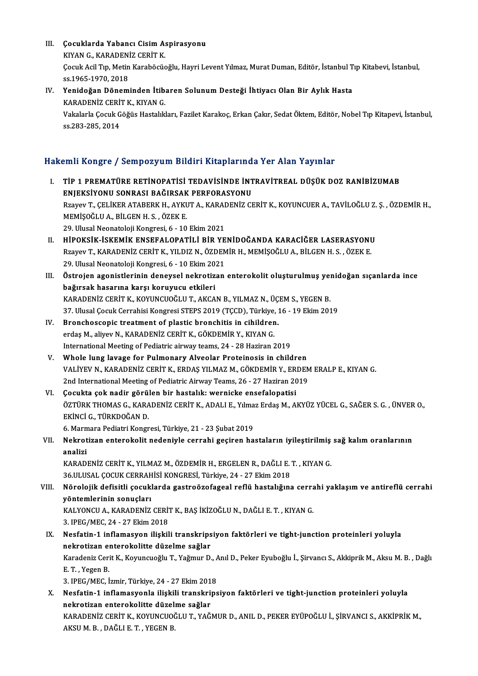- III. Cocuklarda Yabancı Cisim Aspirasyonu<br>VIVAN C. KARADENİZ CERİT V Cocuklarda Yabancı Cisim A:<br>KIYAN G., KARADENİZ CERİT K.<br>Coguk Agil Tın Metin Karabösüs Çocuk Acil Tıp, Metin Karaböcüoğlu, Hayri Levent Yılmaz, Murat Duman, Editör, İstanbul Tıp Kitabevi, İstanbul,<br>ss.1965-1970, 2018 KIYAN G., KARADENİZ CERİT K. Cocuk Acil Tıp, Metin Karaböcüoğlu, Hayri Levent Yılmaz, Murat Duman, Editör, İstanbul T<br>ss.1965-1970, 2018<br>IV. Yenidoğan Döneminden İtibaren Solunum Desteği İhtiyacı Olan Bir Aylık Hasta<br>kARADENİZ CERİT K. KIYAN C
- ss.1965-1970, 2018<br>Yenidoğan Döneminden İtib.<br>KARADENİZ CERİT K., KIYAN G.<br>Vakalarla Cosuk Cöğüs Hastalık Yenidoğan Döneminden İtibaren Solunum Desteği İhtiyacı Olan Bir Aylık Hasta<br>KARADENİZ CERİT K., KIYAN G.<br>Vakalarla Çocuk Göğüs Hastalıkları, Fazilet Karakoç, Erkan Çakır, Sedat Öktem, Editör, Nobel Tıp Kitapevi, İstanbul,<br> KARADENİZ CERİ'<br>Vakalarla Çocuk G<br>ss.283-285, 2014

# ss.283-285, 2014<br>Hakemli Kongre / Sempozyum Bildiri Kitaplarında Yer Alan Yayınlar

- akemli Kongre / Sempozyum Bildiri Kitaplarında Yer Alan Yayınlar<br>I. TİP 1 PREMATÜRE RETİNOPATİSİ TEDAVİSİNDE İNTRAVİTREAL DÜŞÜK DOZ RANİBİZUMAB<br>ENIEKSİYONU SONRASI RAĞIRSAK REREORASYONU ENIT IOLSE 7 SSIIPOLJ'UNI BIUNT INUPULTIU<br>TİP 1 PREMATÜRE RETİNOPATİSİ TEDAVİSİNDE İNT<br>ENJEKSİYONU SONRASI BAĞIRSAK PERFORASYONU<br>Prayay T. CELİKER ATARERK'H AYKUTA, KARADENİZ CI TİP 1 PREMATÜRE RETİNOPATİSİ TEDAVİSİNDE İNTRAVİTREAL DÜŞÜK DOZ RANİBİZUMAB<br>ENJEKSİYONU SONRASI BAĞIRSAK PERFORASYONU<br>Rzayev T., ÇELİKER ATABERK H., AYKUT A., KARADENİZ CERİT K., KOYUNCUER A., TAVİLOĞLU Z. Ş. , ÖZDEMİR H., ENJEKSİYONU SONRASI BAĞIRSAK PERFORASYONU<br>Rzayev T., ÇELİKER ATABERK H., AYKUT A., KARADENİZ C<br>MEMİŞOĞLU A., BİLGEN H. S. , ÖZEK E.<br>29. Ulusal Neonatoloji Kongresi, 6 - 10 Ekim 2021 Rzayev T., ÇELİKER ATABERK H., AYKUT A., KARAI<br>MEMİŞOĞLU A., BİLGEN H. S. , ÖZEK E.<br>29. Ulusal Neonatoloji Kongresi, 6 - 10 Ekim 2021<br>HİROKSİK İSKEMİK ENSERALORATİLI BİR VE MEMİŞOĞLU A., BİLGEN H. S. , ÖZEK E.<br>29. Ulusal Neonatoloji Kongresi, 6 - 10 Ekim 2021<br>II. HİPOKSİK-İSKEMİK ENSEFALOPATİLİ BİR YENİDOĞANDA KARACİĞER LASERASYONU<br>REAKSIK-İSKEMİK CERİT K. YU DIZ N. ÖZDEMİR H. MEMİSOĞLU A. Bİ
- 29. Ulusal Neonatoloji Kongresi, 6 10 Ekim 2021<br>HİPOKSİK-İSKEMİK ENSEFALOPATİLİ BİR YENİDOĞANDA KARACİĞER LASERASYONU<br>Rzayev T., KARADENİZ CERİT K., YILDIZ N., ÖZDEMİR H., MEMİŞOĞLU A., BİLGEN H. S. , ÖZEK E.<br>20 Ulusal N HİPOKSİK-İSKEMİK ENSEFALOPATİLİ BİR YE<br>Rzayev T., KARADENİZ CERİT K., YILDIZ N., ÖZDEM<br>29. Ulusal Neonatoloji Kongresi, 6 - 10 Ekim 2021<br>Östrejen agenistlerinin denevsel nekretiren Rzayev T., KARADENİZ CERİT K., YILDIZ N., ÖZDEMİR H., MEMİŞOĞLU A., BİLGEN H. S. , ÖZEK E.<br>29. Ulusal Neonatoloji Kongresi, 6 - 10 Ekim 2021<br>III. Östrojen agonistlerinin deneysel nekrotizan enterokolit oluşturulmuş yen 29. Ulusal Neonatoloji Kongresi, 6 - 10 Ekim 2021
- KARADENİZ CERİTK.,KOYUNCUOĞLUT.,AKCANB.,YILMAZN.,ÜÇEMS.,YEGENB. 37. Ulusal Çocuk Cerrahisi Kongresi STEPS 2019 (TÇCD), Türkiye, 16 - 19 Ekim 2019 KARADENİZ CERİT K., KOYUNCUOĞLU T., AKCAN B., YILMAZ N., ÜÇ<br>37. Ulusal Çocuk Cerrahisi Kongresi STEPS 2019 (TÇCD), Türkiye, 1<br>IV. Bronchoscopic treatment of plastic bronchitis in cihildren.<br>2010 M. Aliyov N. KARADENİZ CERİ
- 37. Ulusal Çocuk Cerrahisi Kongresi STEPS 2019 (TÇCD), Türkiye,<br>Bronchoscopic treatment of plastic bronchitis in cihildren<br>erdaş M., aliyev N., KARADENİZ CERİT K., GÖKDEMİR Y., KIYAN G.<br>International Meeting of Bediatris s Bronchoscopic treatment of plastic bronchitis in cihildren.<br>erdaş M., aliyev N., KARADENİZ CERİT K., GÖKDEMİR Y., KIYAN G.<br>International Meeting of Pediatric airway teams, 24 - 28 Haziran 2019<br>Whole lung lavage for Pulmena erdaş M., aliyev N., KARADENİZ CERİT K., GÖKDEMİR Y., KIYAN G.<br>International Meeting of Pediatric airway teams, 24 - 28 Haziran 2019<br>V. Whole lung lavage for Pulmonary Alveolar Proteinosis in children
- VALİYEV N., KARADENİZ CERİT K., ERDAŞ YILMAZ M., GÖKDEMİR Y., ERDEM ERALP E., KIYAN G. Whole lung lavage for Pulmonary Alveolar Proteinosis in children<br>VALİYEV N., KARADENİZ CERİT K., ERDAŞ YILMAZ M., GÖKDEMİR Y., ERDEN<br>2nd International Meeting of Pediatric Airway Teams, 26 - 27 Haziran 2019<br>Cosultte sek na VALİYEV N., KARADENİZ CERİT K., ERDAŞ YILMAZ M., GÖKDEMİR Y., ER<br>2nd International Meeting of Pediatric Airway Teams, 26 - 27 Haziran 20<br>VI. Cocukta çok nadir görülen bir hastalık: wernicke ensefalopatisi<br>ÖZTÜDK THOMAS C.
- 2nd International Meeting of Pediatric Airway Teams, 26 27 Haziran 2019<br>Çocukta çok nadir görülen bir hastalık: wernicke ensefalopatisi<br>ÖZTÜRK THOMAS G., KARADENİZ CERİT K., ADALI E., Yılmaz Erdaş M., AKYÜZ YÜCEL G., SAĞ Çocukta çok nadir görül<br>ÖZTÜRK THOMAS G., KARA<br>EKİNCİ G., TÜRKDOĞAN D.<br>6. Maymara Badiatri Kangr ÖZTÜRK THOMAS G., KARADENİZ CERİT K., ADALI E., Yılma<br>EKİNCİ G., TÜRKDOĞAN D.<br>6. Marmara Pediatri Kongresi, Türkiye, 21 - 23 Şubat 2019<br>Neknatiran antanekalit nedeniyle sanrabi sasinan ba EKİNCİ G., TÜRKDOĞAN D.<br>6. Marmara Pediatri Kongresi, Türkiye, 21 - 23 Şubat 2019<br>VII. Nekrotizan enterokolit nedeniyle cerrahi geçiren hastaların iyileştirilmiş sağ kalım oranlarının<br>analiri
- 6. Marn<br><mark>Nekrot</mark><br>analizi Nekrotizan enterokolit nedeniyle cerrahi geçiren hastaların iyileştirilmiş<br>analizi<br>KARADENİZ CERİT K., YILMAZ M., ÖZDEMİR H., ERGELEN R., DAĞLI E. T. , KIYAN G.<br>26 III USAL COCUK CERRAHİSİ KONCRESİ Türkiye 24 - 27 Ekim 201

analizi<br>KARADENİZ CERİT K., YILMAZ M., ÖZDEMİR H., ERGELEN R., DAĞLI E. T. , KIYAN G.<br>36.ULUSAL COCUK CERRAHİSİ KONGRESİ, Türkiye, 24 - 27 Ekim 2018

KARADENİZ CERİT K., YILMAZ M., ÖZDEMİR H., ERGELEN R., DAĞLI E. T. , KIYAN G.<br>36.ULUSAL ÇOCUK CERRAHİSİ KONGRESİ, Türkiye, 24 - 27 Ekim 2018<br>VIII. Nörolojik defisitli çocuklarda gastroözofageal reflü hastalığına cerrah 36.ULUSAL ÇOCUK CERRAH<br>Nörolojik defisitli çocuk<br>yöntemlerinin sonuçları<br>KALYONCU A. KARADENİZ Nörolojik defisitli çocuklarda gastroözofageal reflü hastalığına cerra<br>yöntemlerinin sonuçları<br>KALYONCU A., KARADENİZ CERİT K., BAŞ İKİZOĞLU N., DAĞLI E. T. , KIYAN G.<br>2. IPEC (MEC 24.-27 Ekim 2019 yöntemlerinin sonuçları<br>KALYONCU A., KARADENİZ CERİ<br>3. IPEG/MEC, 24 - 27 Ekim 2018<br>Nesfatin 1. inflamasıyan ilislel KALYONCU A., KARADENİZ CERİT K., BAŞ İKİZOĞLU N., DAĞLI E. T. , KIYAN G.<br>3. IPEG/MEC, 24 - 27 Ekim 2018<br>IX. Nesfatin-1 inflamasyon ilişkili transkripsiyon faktörleri ve tight-junction proteinleri yoluyla<br>pekratiran ant

3. IPEG/MEC, 24 - 27 Ekim 2018<br>Nesfatin-1 inflamasyon ilişkili transkrips<br>nekrotizan enterokolitte düzelme sağlar<br>Kanadaniz Cerit K. Karungyağlu T. Yağmur D Nesfatin-1 inflamasyon ilişkili transkripsiyon faktörleri ve tight-junction proteinleri yoluyla<br>nekrotizan enterokolitte düzelme sağlar<br>Karadeniz Cerit K., Koyuncuoğlu T., Yağmur D., Anıl D., Peker Eyuboğlu İ., Şirvancı S. ne<mark>krotizan</mark> el<br>Karadeniz Ceri<br>E. T. , Yegen B.<br>2. JPEC (MEC. i Karadeniz Cerit K., Koyuncuoğlu T., Yağmur D., A.<br>E. T. , Yegen B.<br>3. IPEG/MEC, İzmir, Türkiye, 24 - 27 Ekim 2018<br>Nesfatin 1. inflamasyonla iliakili transkrins 3. IPEG/MEC, İzmir, Türkiye, 24 - 27 Ekim 2018

E. T. , Yegen B.<br>3. IPEG/MEC, İzmir, Türkiye, 24 - 27 Ekim 2018<br>X. Nesfatin-1 inflamasyonla ilişkili transkripsiyon faktörleri ve tight-junction proteinleri yoluyla<br>nekrotizan enterokolitte düzelme sağlar KARADENİZ CERİTK.,KOYUNCUOĞLUT.,YAĞMURD.,ANILD.,PEKEREYÜPOĞLUİ.,ŞİRVANCI S.,AKKİPRİKM., AKSUM.B. ,DAĞLIE.T. ,YEGENB.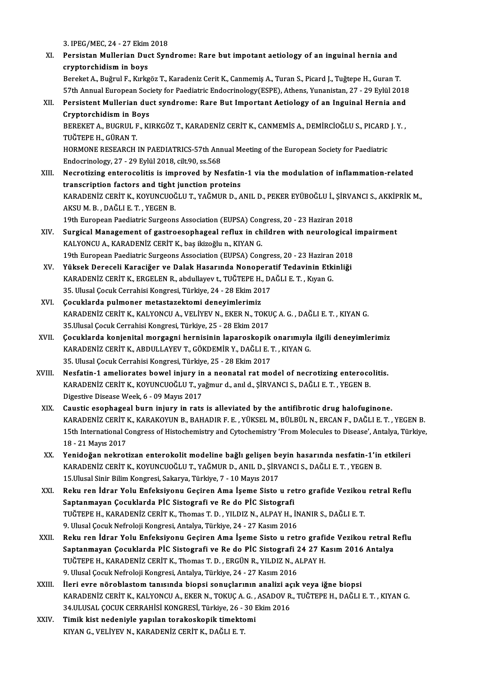3. IPEG/MEC,24 -27Ekim2018

- 3. IPEG/MEC, 24 27 Ekim 2018<br>XI. Persistan Mullerian Duct Syndrome: Rare but impotant aetiology of an inguinal hernia and<br>enunterebidiam in heve 3. IPEG/MEC, 24 - 27 Ekim<br>Persistan Mullerian Duc<br>cryptorchidism in boys<br>Bonakat A. Bužmul E. Kuka cryptorchidism in boys<br>Bereket A., Buğrul F., Kırkgöz T., Karadeniz Cerit K., Canmemiş A., Turan S., Picard J., Tuğtepe H., Guran T. cryptorchidism in boys<br>Bereket A., Buğrul F., Kırkgöz T., Karadeniz Cerit K., Canmemiş A., Turan S., Picard J., Tuğtepe H., Guran T.<br>57th Annual European Society for Paediatric Endocrinology(ESPE), Athens, Yunanistan, 27 -
- Bereket A., Buğrul F., Kırkgöz T., Karadeniz Cerit K., Canmemiş A., Turan S., Picard J., Tuğtepe H., Guran T.<br>57th Annual European Society for Paediatric Endocrinology(ESPE), Athens, Yunanistan, 27 29 Eylül 2018<br>XII. Per 57th Annual European Soc<br>Persistent Mullerian duc<br>Cryptorchidism in Boys<br>PEPEKET A PUCPUL F KI Persistent Mullerian duct syndrome: Rare But Important Aetiology of an Inguinal Hernia and<br>Cryptorchidism in Boys<br>BEREKET A., BUGRUL F., KIRKGÖZ T., KARADENİZ CERİT K., CANMEMİS A., DEMİRCİOĞLU S., PICARD J. Y. ,<br>TUĞTERE H Cryptorchidism in Boys<br>BEREKET A., BUGRUL F., KIRKGÖZ T., KARADENİZ CERİT K., CANMEMİS A., DEMİRCİOĞLU S., PICARD J. Y. ,<br>TUĞTEPE H., GÜRAN T. BEREKET A., BUGRUL F., KIRKGÖZ T., KARADENİZ CERİT K., CANMEMİS A., DEMİRCİOĞLU S., PICARD<br>TUĞTEPE H., GÜRAN T.<br>HORMONE RESEARCH IN PAEDIATRICS-57th Annual Meeting of the European Society for Paediatric<br>Endecripelegy 27 - TUĞTEPE H., GÜRAN T.<br>HORMONE RESEARCH IN PAEDIATRICS-57th Ann<br>Endocrinology, 27 - 29 Eylül 2018, cilt.90, ss.568<br>Negretiring entereselitie is imnreued by Ne HORMONE RESEARCH IN PAEDIATRICS-57th Annual Meeting of the European Society for Paediatric<br>Endocrinology, 27 - 29 Eylül 2018, cilt.90, ss.568<br>XIII. Necrotizing enterocolitis is improved by Nesfatin-1 via the modulation of
- Endocrinology, 27 29 Eylül 2018, cilt.90, ss.568<br>Necrotizing enterocolitis is improved by Nesfatir<br>transcription factors and tight junction proteins<br>KARADENIZ CERIT K, KOVINCHOČLU T, YAČMIR D, A Necrotizing enterocolitis is improved by Nesfatin-1 via the modulation of inflammation-related<br>transcription factors and tight junction proteins<br>KARADENİZ CERİT K., KOYUNCUOĞLU T., YAĞMUR D., ANIL D., PEKER EYÜBOĞLU İ., Şİ transcription factors and tight<br>KARADENİZ CERİT K., KOYUNCUOĞ<br>AKSU M. B. , DAĞLI E. T. , YEGEN B.<br>10th Euronean Peedistris Surgeon KARADENİZ CERİT K., KOYUNCUOĞLU T., YAĞMUR D., ANIL D., PEKER EYÜBOĞLU İ., ŞİRVA<br>AKSU M. B. , DAĞLI E. T. , YEGEN B.<br>19th European Paediatric Surgeons Association (EUPSA) Congress, 20 - 23 Haziran 2018<br>Surgical Managament AKSU M. B. , DAĞLI E. T. , YEGEN B.<br>19th European Paediatric Surgeons Association (EUPSA) Congress, 20 - 23 Haziran 2018<br>XIV. Surgical Management of gastroesophageal reflux in children with neurological impairment<br>KALYONCU 19th European Paediatric Surgeons Association (EUPSA) Congress, 20 - 23 Haziran 2018
- Surgical Management of gastroesophageal reflux in children with neurological<br>KALYONCU A., KARADENİZ CERİT K., baş ikizoğlu n., KIYAN G.<br>19th European Paediatric Surgeons Association (EUPSA) Congress, 20 23 Haziran 2018<br>V KALYONCU A., KARADENİZ CERİT K., baş ikizoğlu n., KIYAN G.<br>19th European Paediatric Surgeons Association (EUPSA) Congress, 20 - 23 Haziran 2018<br>XV. Yüksek Dereceli Karaciğer ve Dalak Hasarında Nonoperatif Tedavinin Etkin
- 19th European Paediatric Surgeons Association (EUPSA) Congress, 20 23 Haziran<br>Yüksek Dereceli Karaciğer ve Dalak Hasarında Nonoperatif Tedavinin Etk<br>KARADENİZ CERİT K., ERGELEN R., abdullayev t., TUĞTEPE H., DAĞLI E. T. Yüksek Dereceli Karaciğer ve Dalak Hasarında Nonopera<br>KARADENİZ CERİT K., ERGELEN R., abdullayev t., TUĞTEPE H., D.<br>35. Ulusal Çocuk Cerrahisi Kongresi, Türkiye, 24 - 28 Ekim 2017<br>Cosuklarda pulmanar matastaraktami danayim KARADENİZ CERİT K., ERGELEN R., abdullayev t., TUĞTEPE H., DAĞLI E. T. , Kıyan G.<br>35. Ulusal Çocuk Cerrahisi Kongresi, Türkiye, 24 - 28 Ekim 2017<br>XVI. Çocuklarda pulmoner metastazektomi deneyimlerimiz
- 35. Ulusal Çocuk Cerrahisi Kongresi, Türkiye, 24 28 Ekim 2017<br>**Çocuklarda pulmoner metastazektomi deneyimlerimiz**<br>KARADENİZ CERİT K., KALYONCU A., VELİYEV N., EKER N., TOKUÇ A. G. , DAĞLI E. T. , KIYAN G.<br>25 Ulusal Cesuk Cocuklarda pulmoner metastazektomi deneyimlerimiz<br>KARADENİZ CERİT K., KALYONCU A., VELİYEV N., EKER N., TOKU<br>35.Ulusal Çocuk Cerrahisi Kongresi, Türkiye, 25 - 28 Ekim 2017<br>Cosuklarda kanianital marsasni barnisinin lanarask KARADENİZ CERİT K., KALYONCU A., VELİYEV N., EKER N., TOKUÇ A. G. , DAĞLI E. T. , KIYAN G.<br>35.Ulusal Çocuk Cerrahisi Kongresi, Türkiye, 25 - 28 Ekim 2017<br>XVII. Çocuklarda konjenital morgagni hernisinin laparoskopik ona
- 35.Ulusal Çocuk Cerrahisi Kongresi, Türkiye, 25 28 Ekim 2017<br>Çocuklarda konjenital morgagni hernisinin laparoskopik onarımıyla<br>KARADENİZ CERİT K., ABDULLAYEV T., GÖKDEMİR Y., DAĞLI E. T. , KIYAN G.<br>25. Ulusal Ceguk Cerra Gocuklarda konjenital morgagni hernisinin laparoskopik<br>KARADENİZ CERİT K., ABDULLAYEV T., GÖKDEMİR Y., DAĞLI E. 1<br>35. Ulusal Çocuk Cerrahisi Kongresi, Türkiye, 25 - 28 Ekim 2017<br>Negfatin 1. ameliarates heyvel iniyev in a n KARADENİZ CERİT K., ABDULLAYEV T., GÖKDEMİR Y., DAĞLI E. T. , KIYAN G.<br>35. Ulusal Çocuk Cerrahisi Kongresi, Türkiye, 25 - 28 Ekim 2017<br>XVIII. Nesfatin-1 ameliorates bowel injury in a neonatal rat model of necrotizing enter
- 35. Ulusal Çocuk Cerrahisi Kongresi, Türkiye, 25 28 Ekim 2017<br>Nesfatin-1 ameliorates bowel injury in a neonatal rat model of necrotizing enteroco<br>KARADENİZ CERİT K., KOYUNCUOĞLU T., yağmur d., anıl d., ŞİRVANCI S., DAĞLI Nesfatin-1 ameliorates bowel injury in<br>KARADENİZ CERİT K., KOYUNCUOĞLU T., ya<br>Digestive Disease Week, 6 - 09 Mayıs 2017<br>Caustis esenhassel burn injury in nata KARADENİZ CERİT K., KOYUNCUOĞLU T., yağmur d., anıl d., ŞİRVANCI S., DAĞLI E. T. , YEGEN B.<br>Digestive Disease Week, 6 - 09 Mayıs 2017<br>XIX. Caustic esophageal burn injury in rats is alleviated by the antifibrotic drug h
- Digestive Disease Week, 6 09 Mayıs 2017<br>Caustic esophageal burn injury in rats is alleviated by the antifibrotic drug halofuginone.<br>KARADENİZ CERİT K., KARAKOYUN B., BAHADIR F. E. , YÜKSEL M., BÜLBÜL N., ERCAN F., DAĞLI Caustic esophageal burn injury in rats is alleviated by the antifibrotic drug halofuginone.<br>KARADENİZ CERİT K., KARAKOYUN B., BAHADIR F. E. , YÜKSEL M., BÜLBÜL N., ERCAN F., DAĞLI E. T. , YEGEN B.<br>15th International Congre KARADENİZ CERİT I<br>15th International C<br>18 - 21 Mayıs 2017<br>Yenideğan nekret 15th International Congress of Histochemistry and Cytochemistry 'From Molecules to Disease', Antalya, Tür<br>18 - 21 Mayıs 2017<br>XX. Yenidoğan nekrotizan enterokolit modeline bağlı gelişen beyin hasarında nesfatin-1'in etkiler
- 18 21 Mayıs 2017<br>XX. Yenidoğan nekrotizan enterokolit modeline bağlı gelişen beyin hasarında nesfatin-1'in etkileri<br>KARADENİZ CERİT K., KOYUNCUOĞLU T., YAĞMUR D., ANIL D., ŞİRVANCI S., DAĞLI E. T. , YEGEN B. 15.Ulusal Sinir Bilim Kongresi, Sakarya, Türkiye, 7 - 10 Mayıs 2017 KARADENİZ CERİT K., KOYUNCUOĞLU T., YAĞMUR D., ANIL D., ŞİRVANCI S., DAĞLI E. T. , YEGEN B.<br>15.Ulusal Sinir Bilim Kongresi, Sakarya, Türkiye, 7 - 10 Mayıs 2017<br>XXI. Reku ren İdrar Yolu Enfeksiyonu Geçiren Ama İşeme Sisto u
- 15.Ulusal Sinir Bilim Kongresi, Sakarya, Türkiye, 7 10 Mayıs 2017<br>Reku ren İdrar Yolu Enfeksiyonu Geçiren Ama İşeme Sisto u re<br>Saptanmayan Çocuklarda PİC Sistografi ve Re do PİC Sistografi<br>TUČTERE U, KARADENİZ CERİT K, T Reku ren İdrar Yolu Enfeksiyonu Geçiren Ama İşeme Sisto u retro grafide Vezikou<br>Saptanmayan Çocuklarda PİC Sistografi ve Re do PİC Sistografi<br>TUĞTEPE H., KARADENİZ CERİT K., Thomas T. D. , YILDIZ N., ALPAY H., İNANIR S., D Saptanmayan Çocuklarda PİC Sistografi ve Re do PİC Sistografi<br>TUĞTEPE H., KARADENİZ CERİT K., Thomas T. D. , YILDIZ N., ALPAY H., İNANIR S., DAĞLI E. T.<br>9. Ulusal Çocuk Nefroloji Kongresi, Antalya, Türkiye, 24 - 27 Kasım 2 TUĞTEPE H., KARADENİZ CERİT K., Thomas T. D. , YILDIZ N., ALPAY H., İNANIR S., DAĞLI E. T.<br>9. Ulusal Çocuk Nefroloji Kongresi, Antalya, Türkiye, 24 - 27 Kasım 2016<br>XXII. Reku ren İdrar Yolu Enfeksiyonu Geçiren Ama İşeme Si
- 9. Ulusal Çocuk Nefroloji Kongresi, Antalya, Türkiye, 24 27 Kasım 2016<br>Reku ren İdrar Yolu Enfeksiyonu Geçiren Ama İşeme Sisto u retro grafide Vezikou retral F<br>Saptanmayan Çocuklarda PİC Sistografi ve Re do PİC Sistograf Reku ren İdrar Yolu Enfeksiyonu Geçiren Ama İşeme Sisto u retro grafi<br>Saptanmayan Çocuklarda PİC Sistografi ve Re do PİC Sistografi 24 27 K.<br>TUĞTEPE H., KARADENİZ CERİT K., Thomas T. D. , ERGÜN R., YILDIZ N., ALPAY H.<br>9 Hl Saptanmayan Çocuklarda PİC Sistografi ve Re do PİC Sistografi 24 27 Kasım 2016 Antalya<br>TUĞTEPE H., KARADENİZ CERİT K., Thomas T. D. , ERGÜN R., YILDIZ N., ALPAY H.<br>9. Ulusal Çocuk Nefroloji Kongresi, Antalya, Türkiye, 24 -TUĞTEPE H., KARADENİZ CERİT K., Thomas T. D. , ERGÜN R., YILDIZ N., ALPAY H.<br>9. Ulusal Çocuk Nefroloji Kongresi, Antalya, Türkiye, 24 - 27 Kasım 2016<br>XXIII. İleri evre nöroblastom tanısında biopsi sonuçlarının analizi açık
- KARADENİZ CERİTK.,KALYONCUA.,EKERN.,TOKUÇA.G. ,ASADOVR.,TUĞTEPEH.,DAĞLIE.T. ,KIYANG. İleri evre nöroblastom tanısında biopsi sonuçlarının analizi aç<br>KARADENİZ CERİT K., KALYONCU A., EKER N., TOKUÇ A. G. , ASADOV R<br>34.ULUSAL ÇOCUK CERRAHİSİ KONGRESİ, Türkiye, 26 - 30 Ekim 2016<br>Timik kişt nodeniyle yanılan t 34.ULUSAL ÇOCUK CERRAHİSİ KONGRESİ, Türkiye, 26 - 30 Ekim 2016
- XXIV. Timik kist nedeniyle yapılan torakoskopik timektomi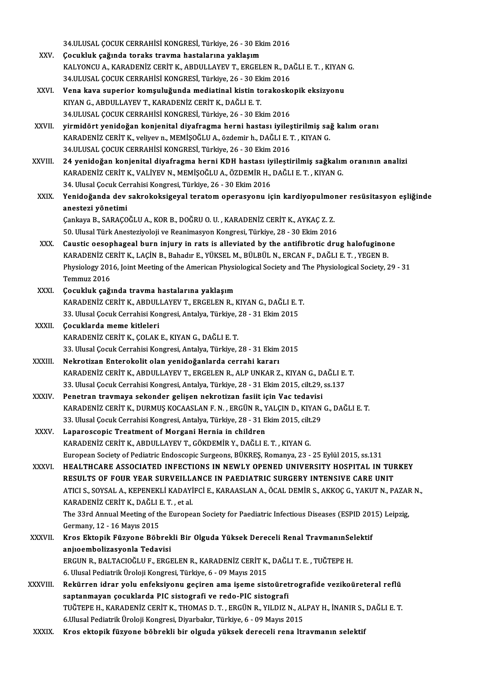34.ULUSAL ÇOCUK CERRAHİSİ KONGRESİ, Türkiye, 26 - 30 Ekim 2016<br>Cosukluk sağında taraka trayma baştalarına yaklasım

- 34.ULUSAL ÇOCUK CERRAHİSİ KONGRESİ, Türkiye, 26 30 Ek<br>XXV. Gocukluk çağında toraks travma hastalarına yaklaşım<br>KALXONCU A. KARADENİZ CERİT K. ARDIH LAYEV T. ERCEL 34.ULUSAL ÇOCUK CERRAHİSİ KONGRESİ, Türkiye, 26 - 30 Ekim 2016<br>Çocukluk çağında toraks travma hastalarına yaklaşım<br>KALYONCU A., KARADENİZ CERİT K., ABDULLAYEV T., ERGELEN R., DAĞLI E. T. , KIYAN G.<br>24 III USAL COCUK CERRAH Çocukluk çağında toraks travma hastalarına yaklaşım<br>KALYONCU A., KARADENİZ CERİT K., ABDULLAYEV T., ERGELEN R., DA<br>34.ULUSAL ÇOCUK CERRAHİSİ KONGRESİ, Türkiye, 26 - 30 Ekim 2016<br>Vena kaya sunaniar kamayluğunda madiatinal k XXVI. Vena kava superior komşuluğundamediatinal kistin torakoskopik eksizyonu
- KIYAN G., ABDULLAYEV T., KARADENİZ CERİT K., DAĞLI E. T. Vena kava superior komşuluğunda mediatinal kistin torakosko<br>KIYAN G., ABDULLAYEV T., KARADENİZ CERİT K., DAĞLI E. T.<br>34.ULUSAL ÇOCUK CERRAHİSİ KONGRESİ, Türkiye, 26 - 30 Ekim 2016<br>yirmidört yenideğen kanianital diyafrasına
- XXVII. yirmidört yenidoğan konjenital diyafragma herni hastası iyileştirilmiş sağ kalım oranı 34.ULUSAL ÇOCUK CERRAHİSİ KONGRESİ, Türkiye, 26 - 30 Ekim 2016<br>**yirmidört yenidoğan konjenital diyafragma herni hastası iyileştirilmiş sa**<br>KARADENİZ CERİT K., veliyev n., MEMİŞOĞLU A., özdemir h., DAĞLI E. T. , KIYAN G.<br>24 KARADENİZ CERİT K., veliyev n., MEMİŞOĞLU A., özdemir h., DAĞLI E. T. , KIYAN G.<br>34.ULUSAL ÇOCUK CERRAHİSİ KONGRESİ, Türkiye, 26 - 30 Ekim 2016 KARADENİZ CERİT K., veliyev n., MEMİŞOĞLU A., özdemir h., DAĞLI E. T. , KIYAN G.<br>34.ULUSAL ÇOCUK CERRAHİSİ KONGRESİ, Türkiye, 26 - 30 Ekim 2016<br>XXVIII. 24 yenidoğan konjenital diyafragma herni KDH hastası iyileştirilmiş sa
- 34.ULUSAL ÇOCUK CERRAHİSİ KONGRESİ, Türkiye, 26 30 Ekim 2016<br>24 yenidoğan konjenital diyafragma herni KDH hastası iyileştirilmiş sağkalın<br>KARADENİZ CERİT K., VALİYEV N., MEMİŞOĞLU A., ÖZDEMİR H., DAĞLI E. T. , KIYAN G.<br>2 24 yenidoğan konjenital diyafragma herni KDH hastası iy<br>KARADENİZ CERİT K., VALİYEV N., MEMİŞOĞLU A., ÖZDEMİR H.,<br>34. Ulusal Çocuk Cerrahisi Kongresi, Türkiye, 26 - 30 Ekim 2016<br>Yanidağanda day sakrakaksiyeyel taratam anar KARADENİZ CERİT K., VALİYEV N., MEMİŞOĞLU A., ÖZDEMİR H., DAĞLI E. T. , KIYAN G.<br>34. Ulusal Çocuk Cerrahisi Kongresi, Türkiye, 26 - 30 Ekim 2016<br>XXIX. Yenidoğanda dev sakrokoksigeyal teratom operasyonu için kardiyopulm
- 34. Ulusal Çocuk Cer<br>Yenidoğanda dev<br>anestezi yönetimi<br>Cankaya B. SABACO Yenidoğanda dev sakrokoksigeyal teratom operasyonu için kardiyopulmol<br>anestezi yönetimi<br>Çankaya B., SARAÇOĞLU A., KOR B., DOĞRU O. U. , KARADENİZ CERİT K., AYKAÇ Z. Z.<br>EQ Hlucel Türk Anesteriyeleji ve Beanimesyon Kongresi

anestezi yönetimi<br>Çankaya B., SARAÇOĞLU A., KOR B., DOĞRU O. U. , KARADENİZ CERİT K., AYKAÇ Z. Z.<br>50. Ulusal Türk Anesteziyoloji ve Reanimasyon Kongresi, Türkiye, 28 - 30 Ekim 2016

- Cankaya B., SARAÇOĞLU A., KOR B., DOĞRU O. U. , KARADENİZ CERİT K., AYKAÇ Z. Z.<br>50. Ulusal Türk Anesteziyoloji ve Reanimasyon Kongresi, Türkiye, 28 30 Ekim 2016<br>XXX. Caustic oesophageal burn injury in rats is alleviated 50. Ulusal Türk Anesteziyoloji ve Reanimasyon Kongresi, Türkiye, 28 - 30 Ekim 2016<br>Caustic oesophageal burn injury in rats is alleviated by the antifibrotic drug halofuginon<br>KARADENİZ CERİT K., LAÇİN B., Bahadır E., YÜKSEL Caustic oesophageal burn injury in rats is alleviated by the antifibrotic drug halofuginone<br>KARADENİZ CERİT K., LAÇİN B., Bahadır E., YÜKSEL M., BÜLBÜL N., ERCAN F., DAĞLI E. T. , YEGEN B.<br>Physiology 2016, Joint Meeting of KARADENİZ CE<br>Physiology 201<br>Temmuz 2016<br>Cosukluk sağı Physiology 2016, Joint Meeting of the American Physi<br>Temmuz 2016<br>XXXI. Çocukluk çağında travma hastalarına yaklaşım<br>KARADENİZ CERİT KARDIJI LAYEV TERÇELEN BU
- Temmuz 2016<br>Çocukluk çağında travma hastalarına yaklaşım<br>KARADENİZ CERİT K., ABDULLAYEV T., ERGELEN R., KIYAN G., DAĞLI E. T.<br>22 Hlusal Cesuk Cerrabisi Konsresi, Antalya Türkiye 28 31 Ekim 2015 Çocukluk çağında travma hastalarına yaklaşım<br>KARADENİZ CERİT K., ABDULLAYEV T., ERGELEN R., KIYAN G., DAĞLI E. 1<br>33. Ulusal Çocuk Cerrahisi Kongresi, Antalya, Türkiye, 28 - 31 Ekim 2015<br>Cosuklarda mama kitleleri KARADENİZ CERİT K., ABDUL.<br>33. Ulusal Çocuk Cerrahisi Kor<br>XXXII. Çocuklarda meme kitleleri
- 33. Ulusal Çocuk Cerrahisi Kongresi, Antalya, Türkiye, 28 31 Ekim 2015<br>**Çocuklarda meme kitleleri**<br>KARADENİZ CERİT K., ÇOLAK E., KIYAN G., DAĞLI E. T. 33. Ulusal Çocuk Cerrahisi Kongresi, Antalya, Türkiye, 28 - 31 Ekim 2015
- XXXIII. Nekrotizan Enterokolit olan yenidoğanlarda cerrahi kararı 33. Ulusal Çocuk Cerrahisi Kongresi, Antalya, Türkiye, 28 - 31 Ekim 2015<br><mark>Nekrotizan Enterokolit olan yenidoğanlarda cerrahi kararı</mark><br>KARADENİZ CERİT K., ABDULLAYEV T., ERGELEN R., ALP UNKAR Z., KIYAN G., DAĞLI E. T.<br><sup>22. U</sup> Nekrotizan Enterokolit olan yenidoğanlarda cerrahi kararı<br>KARADENİZ CERİT K., ABDULLAYEV T., ERGELEN R., ALP UNKAR Z., KIYAN G., DAĞLI E.<br>33. Ulusal Çocuk Cerrahisi Kongresi, Antalya, Türkiye, 28 - 31 Ekim 2015, cilt.29, s KARADENİZ CERİT K., ABDULLAYEV T., ERGELEN R., ALP UNKAR Z., KIYAN G., D.<br>33. Ulusal Çocuk Cerrahisi Kongresi, Antalya, Türkiye, 28 - 31 Ekim 2015, cilt.29,<br>XXXIV. Penetran travmaya sekonder gelişen nekrotizan fasiit için
- 33. Ulusal Çocuk Cerrahisi Kongresi, Antalya, Türkiye, 28 31 Ekim 2015, cilt.29, ss.137<br>Penetran travmaya sekonder gelişen nekrotizan fasiit için Vac tedavisi<br>KARADENİZ CERİT K., DURMUŞ KOCAASLAN F. N. , ERGÜN R., YALÇIN Penetran travmaya sekonder gelişen nekrotizan fasiit için Vac tedavisi<br>KARADENİZ CERİT K., DURMUŞ KOCAASLAN F. N. , ERGÜN R., YALÇIN D., KIYAN<br>33. Ulusal Çocuk Cerrahisi Kongresi, Antalya, Türkiye, 28 - 31 Ekim 2015, cilt. KARADENİZ CERİT K., DURMUŞ KOCAASLAN F. N. , ERGÜN R., Y<br>33. Ulusal Çocuk Cerrahisi Kongresi, Antalya, Türkiye, 28 - 31 E<br>XXXV. Laparoscopic Treatment of Morgani Hernia in children<br>EARADENİZ CERİT K. ARDULLAYEV T. GÖKD
- 33. Ulusal Çocuk Cerrahisi Kongresi, Antalya, Türkiye, 28 31 Ekim 2015, cilt.29<br>Laparoscopic Treatment of Morgani Hernia in children<br>KARADENİZ CERİT K., ABDULLAYEV T., GÖKDEMİR Y., DAĞLI E. T. , KIYAN G. EuropeanSociety ofPediatricEndoscopic Surgeons,BÜKREŞ,Romanya,23 -25Eylül2015, ss.131
- XXXVI. HEALTHCARE ASSOCIATED INFECTIONS IN NEWLY OPENED UNIVERSITY HOSPITAL IN TURKEY European Society of Pediatric Endoscopic Surgeons, BÜKRES, Romanya, 23 - 25 Eylül 2015, ss.131<br>HEALTHCARE ASSOCIATED INFECTIONS IN NEWLY OPENED UNIVERSITY HOSPITAL IN TUF<br>RESULTS OF FOUR YEAR SURVEILLANCE IN PAEDIATRIC SUR ATICI S., SOYSAL A., KEPENEKLİ KADAYİFCİ E., KARAASLAN A., ÖCAL DEMİR S., AKKOÇ G., YAKUT N., PAZAR N.,<br>KARADENİZ CERİT K., DAĞLI E. T. , et al. RESULTS OF FOUR YEAR SURVEILL<br>ATICI S., SOYSAL A., KEPENEKLI KADAYI<br>KARADENİZ CERİT K., DAĞLI E. T. , et al.<br>The 33rd Annual Meeting of the Europes ATICI S., SOYSAL A., KEPENEKLİ KADAYİFCİ E., KARAASLAN A., ÖCAL DEMİR S., AKKOÇ G., YAKUT N., PAZAF<br>KARADENİZ CERİT K., DAĞLI E. T. , et al.<br>The 33rd Annual Meeting of the European Society for Paediatric Infectious Disease

KARADENİZ CERİT K., DAĞLI I<br>The 33rd Annual Meeting of th<br>Germany, 12 - 16 Mayıs 2015<br>Kros Ektonik Eüsysane Böh The 33rd Annual Meeting of the European Society for Paediatric Infectious Diseases (ESPID 201<br>Germany, 12 - 16 Mayıs 2015<br>XXXVII. Kros Ektopik Füzyone Böbrekli Bir Olguda Yüksek Dereceli Renal TravmanınSelektif<br>Anivermheli

Germany, 12 - 16 Mayıs 2015<br>Kros Ektopik Füzyone Böbrek<br>anjıoembolizasyonla Tedavisi<br>EPCUN P. BALTACIOČUUE EPCI Kros Ektopik Füzyone Böbrekli Bir Olguda Yüksek Dereceli Renal TravmanınSe<br>anjıoembolizasyonla Tedavisi<br>ERGUN R., BALTACIOĞLU F., ERGELEN R., KARADENİZ CERİT K., DAĞLI T. E. , TUĞTEPE H.<br>6. Ulusel Pedistrik Üreleji Kensres anjıoembolizasyonla Tedavisi<br>ERGUN R., BALTACIOĞLU F., ERGELEN R., KARADENİZ CERİT K., DAĞLI T. E. , TUĞTEPE H.<br>6. Ulusal Pediatrik Üroloji Kongresi, Türkiye, 6 - 09 Mayıs 2015

- ERGUN R., BALTACIOĞLU F., ERGELEN R., KARADENİZ CERİT K., DAĞLI T. E. , TUĞTEPE H.<br>6. Ulusal Pediatrik Üroloji Kongresi, Türkiye, 6 09 Mayıs 2015<br>XXXVIII. Rekürren idrar yolu enfeksiyonu geçiren ama işeme sistoüretro 6. Ulusal Pediatrik Üroloji Kongresi, Türkiye, 6 - 09 Mayıs 2015<br>Rekürren idrar yolu enfeksiyonu geçiren ama işeme sistoüret<br>saptanmayan çocuklarda PIC sistografi ve redo-PIC sistografi<br>TUČTEDE H. KARADENİZ CERİT K. THOMAS Rekürren idrar yolu enfeksiyonu geçiren ama işeme sistoüretrografide vezikoüreteral reflü<br>saptanmayan çocuklarda PIC sistografi ve redo-PIC sistografi<br>TUĞTEPE H., KARADENİZ CERİT K., THOMAS D. T. , ERGÜN R., YILDIZ N., ALP saptanmayan çocuklarda PIC sistografi ve redo-PIC sistografi<br>TUĞTEPE H., KARADENİZ CERİT K., THOMAS D. T. , ERGÜN R., YILDIZ N., ALPAY H., İNANIR S., DAĞLI E. T.<br>6.Ulusal Pediatrik Üroloji Kongresi, Diyarbakır, Türkiye, 6
- XXXIX. Kros ektopik füzyone böbrekli bir olguda yüksek dereceli rena ltravmanın selektif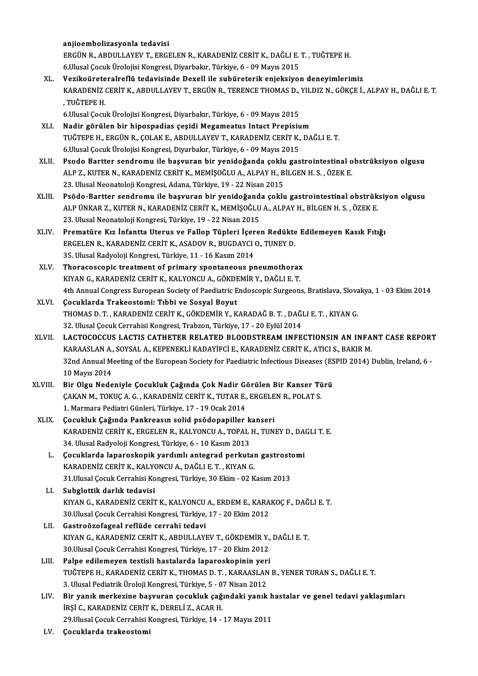anjioembolizasyonla tedavisi anjioembolizasyonla tedavisi<br>ERGÜN R., ABDULLAYEV T., ERGELEN R., KARADENİZ CERİT K., DAĞLI E. T. , TUĞTEPE H.<br>6 Husal Casuk Üralajisi Kangresi, Diyarbalır, Türkiye, 6 - 00 Mayıs 2015 anjioembolizasyonla tedavisi<br>ERGÜN R., ABDULLAYEV T., ERGELEN R., KARADENİZ CERİT K., DAĞLI E.<br>6.Ulusal Çocuk Ürolojisi Kongresi, Diyarbakır, Türkiye, 6 - 09 Mayıs 2015<br>Verilio ünataralındla tedavisinde Devall ile subünata ERGÜN R., ABDULLAYEV T., ERGELEN R., KARADENİZ CERİT K., DAĞLI E. T. , TUĞTEPE H.<br>6.Ulusal Çocuk Ürolojisi Kongresi, Diyarbakır, Türkiye, 6 - 09 Mayıs 2015<br>XL. Vezikoüreteralreflü tedavisinde Dexell ile subüreterik enj 6.Ulusal Çocuk Ürolojisi Kongresi, Diyarbakır, Türkiye, 6 - 09 Mayıs 2015<br>Vezikoüreteralreflü tedavisinde Dexell ile subüreterik enjeksiyon deneyimlerimiz<br>KARADENİZ CERİT K., ABDULLAYEV T., ERGÜN R., TERENCE THOMAS D., YIL Vezi<mark>koürete</mark><br>KARADENİZ<br>, TUĞTEPE H.<br>6 Ulusal Cocu KARADENİZ CERİT K., ABDULLAYEV T., ERGÜN R., TERENCE THOMAS D.,<br>, TUĞTEPE H.<br>6.Ulusal Çocuk Ürolojisi Kongresi, Diyarbakır, Türkiye, 6 - 09 Mayıs 2015<br>Nadir görülen bir binospadias sesidi Magameatus Intast Prenisiy , TUĞTEPE H.<br>6.Ulusal Çocuk Ürolojisi Kongresi, Diyarbakır, Türkiye, 6 - 09 Mayıs 2015<br>XLI. Nadir görülen bir hipospadias çeşidi Megameatus Intact Prepisium 6.Ulusal Çocuk Ürolojisi Kongresi, Diyarbakır, Türkiye, 6 - 09 Mayıs 2015<br>Nadir görülen bir hipospadias çeşidi Megameatus Intact Prepisium<br>TUĞTEPE H., ERGÜN R., ÇOLAK E., ABDULLAYEV T., KARADENİZ CERİT K., DAĞLI E. T.<br>6 Ul Nadir görülen bir hipospadias çeşidi Megameatus Intact Prepisiu<br>TUĞTEPE H., ERGÜN R., ÇOLAK E., ABDULLAYEV T., KARADENİZ CERİT K.,<br>6.Ulusal Çocuk Ürolojisi Kongresi, Diyarbakır, Türkiye, 6 - 09 Mayıs 2015<br>Peodo Bartter sen TUĞTEPE H., ERGÜN R., ÇOLAK E., ABDULLAYEV T., KARADENİZ CERİT K., DAĞLI E. T.<br>6.Ulusal Çocuk Ürolojisi Kongresi, Diyarbakır, Türkiye, 6 - 09 Mayıs 2015<br>XLII. Psodo Bartter sendromu ile başvuran bir yenidoğanda çoklu g 6.Ulusal Çocuk Ürolojisi Kongresi, Diyarbakır, Türkiye, 6 - 09 Mayıs 2015<br>Psodo Bartter sendromu ile başvuran bir yenidoğanda çoklu gastrointestinal o<br>ALP Z., KUTER N., KARADENİZ CERİT K., MEMİŞOĞLU A., ALPAY H., BİLGEN H. Psodo Bartter sendromu ile başvuran bir yenidoğanda çoklu<br>ALP Z., KUTER N., KARADENİZ CERİT K., MEMİŞOĞLU A., ALPAY H., B<br>23. Ulusal Neonatoloji Kongresi, Adana, Türkiye, 19 - 22 Nisan 2015<br>Bağdo Bartter sendromu ile başyu XLI I. PS., KUTER N., KARADENİZ CERİT K., MEMİŞOĞLU A., ALPAY H., BİLGEN H. S. , ÖZEK E.<br>23. Ulusal Neonatoloji Kongresi, Adana, Türkiye, 19 - 22 Nisan 2015<br>XLIII. Psödo-Bartter sendromu ile başvuran bir yenidoğanda çoklu 23. Ulusal Neonatoloji Kongresi, Adana, Türkiye, 19 - 22 Nisan 2015<br>Psödo-Bartter sendromu ile başvuran bir yenidoğanda çoklu gastrointestinal obstrük<br>ALP ÜNKAR Z., KUTER N., KARADENİZ CERİT K., MEMİŞOĞLU A., ALPAY H., BİL Psödo-Bartter sendromu ile başvuran bir yenidoğand<br>ALP ÜNKAR Z., KUTER N., KARADENİZ CERİT K., MEMİŞOĞLU<br>23. Ulusal Neonatoloji Kongresi, Türkiye, 19 - 22 Nisan 2015<br>Prematüre Kız İnfantta Uterus ve Fallen Tünleri İsane ALP ÜNKAR Z., KUTER N., KARADENİZ CERİT K., MEMİŞOĞLU A., ALPAY H., BİLGEN H. S. , ÖZEK E.<br>23. Ulusal Neonatoloji Kongresi, Türkiye, 19 - 22 Nisan 2015<br>XLIV. Prematüre Kız İnfantta Uterus ve Fallop Tüpleri İçeren Redük Prematüre Kız İnfantta Uterus ve Fallop Tüpleri İçeren Redükte Edilemeyen Kasık Fıtığı 35. Ulusal Radyoloji Kongresi, Türkiye, 11 - 16 Kasım 2014 ERGELEN R., KARADENİZ CERİT K., ASADOV R., BUGDAYCI O., TUNEY D.<br>35. Ulusal Radyoloji Kongresi, Türkiye, 11 - 16 Kasım 2014<br>XLV. Thoracoscopic treatment of primary spontaneous pneumothorax<br>XLV. THORADENİZ CERİT K. 35. Ulusal Radyoloji Kongresi, Türkiye, 11 - 16 Kasım 2014<br><mark>Thoracoscopic treatment of primary spontaneous pneumothorax</mark><br>KIYAN G., KARADENİZ CERİT K., KALYONCU A., GÖKDEMİR Y., DAĞLI E. T.<br>4th Annual Congress European Soci KIYAN G., KARADENİZ CERİT K., KALYONCU A., GÖKDEMİR Y., DAĞLI E. T.<br>4th Annual Congress European Society of Paediatric Endoscopic Surgeons, Bratislava, Slovakya, 1 - 03 Ekim 2014 XLVI. Çocuklarda Trakeostomi: Tıbbi ve Sosyal Boyut 4th Annual Congress European Society of Paediatric Endoscopic Surgeons, Bratislava, Slova<br>Cocuklarda Trakeostomi: Tıbbi ve Sosyal Boyut<br>THOMAS D. T. , KARADENİZ CERİT K., GÖKDEMİR Y., KARADAĞ B. T. , DAĞLI E. T. , KIYAN G. Cocuklarda Trakeostomi: Tıbbi ve Sosyal Boyut<br>THOMAS D. T. , KARADENİZ CERİT K., GÖKDEMİR Y., KARADAĞ B. T. , DAĞ!<br>32. Ulusal Çocuk Cerrahisi Kongresi, Trabzon, Türkiye, 17 - 20 Eylül 2014<br>LACTOCOCCUS LACTIS CATUETER RELAT XLVI . LACTOCOCCUS LACTIS CATHETER RELATED BLOODSTREAMINFECTIONSIN AN INFANT CASE REPORT 32. Ulusal Çocuk Cerrahisi Kongresi, Trabzon, Türkiye, 17 - 20 Eylül 2014<br>LACTOCOCCUS LACTIS CATHETER RELATED BLOODSTREAM INFECTIONSIN AN INFA<br>KARAASLAN A., SOYSAL A., KEPENEKLİ KADAYİFCİ E., KARADENİZ CERİT K., ATICI S., LACTOCOCCUS LACTIS CATHETER RELATED BLOODSTREAM INFECTIONSIN AN INFANT CASE REPORT<br>KARAASLAN A., SOYSAL A., KEPENEKLI KADAYIFCI E., KARADENIZ CERIT K., ATICI S., BAKIR M.<br>32nd Annual Meeting of the European Society for Pae KARAASLAN A., SOYSAL A., KEPENEKLİ KADAYİFCİ E., KARADENİZ CERİT K., ATICI S., BAKIR M.<br>32nd Annual Meeting of the European Society for Paediatric Infectious Diseases (ESPID 2014) Dublin, Ireland, 6<br>10 Mayıs 2014 32nd Annual Meeting of the European Society for Paediatric Infectious Diseases (ES<br>10 Mayıs 2014<br>XLVIII. Bir Olgu Nedeniyle Çocukluk Çağında Çok Nadir Görülen Bir Kanser Türü<br>CAKAN M. TOKUC A.C. KARADENİZ CERİT K. TUTAR E. 10 Mayıs 2014<br>Bir Olgu Nedeniyle Çocukluk Çağında Çok Nadir Görülen Bir Kanser Tü<br>ÇAKAN M., TOKUÇ A. G. , KARADENİZ CERİT K., TUTAR E., ERGELEN R., POLAT S.<br>1. Marmana Padiatri Cünleri Türkiye 17, 19 Osak 2014 CAKAN M., TOKUÇ A. G. , KARADENİZ CERİT K., TUTAR E., ERGELEN R., POLAT S.<br>1. Marmara Pediatri Günleri, Türkiye, 17 - 19 Ocak 2014 CAKAN M., TOKUÇ A. G. , KARADENİZ CERİT K., TUTAR E., ERGELE<br>1. Marmara Pediatri Günleri, Türkiye, 17 - 19 Ocak 2014<br>XLIX. Cocukluk Çağında Pankreasın solid psödopapiller kanseri<br>5. Kanadeniz Cepit K. ERCELEN B. KALYONCU A KARADENİZ CERİTK.,ERGELENR.,KALYONCUA.,TOPALH.,TUNEYD.,DAGLIT.E. Cocukluk Çağında Pankreasın solid psödopapiller k<br>KARADENİZ CERİT K., ERGELEN R., KALYONCU A., TOPAL<br>34. Ulusal Radyoloji Kongresi, Türkiye, 6 - 10 Kasım 2013<br>Cosuklarda İapaneskapik vardımlı antasınd parlutt L. Çocuklarda laparoskopik yardımlı antegrad perkutan gastrostomi 34. Ulusal Radyoloji Kongresi, Türkiye, 6 - 10 Kasım 2013 Çocuklarda laparoskopik yardımlı antegrad perkutan gastrost<br>KARADENİZ CERİT K., KALYONCU A., DAĞLI E. T. , KIYAN G.<br>31.Ulusal Çocuk Cerrahisi Kongresi, Türkiye, 30 Ekim - 02 Kasım 2013<br>Subalettik darlık tadayisi KARADENİZ CERİT K., KALYO<br>31.Ulusal Çocuk Cerrahisi Ko<br>LI. Subglottik darlık tedavisi LI. Subglottik darlık tedavisi<br>KIYAN G., KARADENİZ CERİT K., KALYONCU A., ERDEM E., KARAKOÇ F., DAĞLI E. T. 30. Ulusal Çocuk Cerrahisi Kongresi, Türkiye, 17 - 20 Ekim 2012 LII. Gastroözofageal reflüde cerrahi tedavi 30.Ulusal Çocuk Cerrahisi Kongresi, Türkiye, 17 - 20 Ekim 2012<br>Gastroözofageal reflüde cerrahi tedavi<br>KIYAN G., KARADENİZ CERİT K., ABDULLAYEV T., GÖKDEMİR Y., DAĞLI E. T.<br>20 Huyal Ceguk Cerrahisi Kongresi, Türkiye, 17 - 2 Gastroözofageal reflüde cerrahi tedavi<br>KIYAN G., KARADENİZ CERİT K., ABDULLAYEV T., GÖKDEMİR Y.,<br>30.Ulusal Çocuk Cerrahisi Kongresi, Türkiye, 17 - 20 Ekim 2012<br>Palna adilemeyen testisli bestalarda lanareskaninin yeri KIYAN G., KARADENİZ CERİT K., ABDULLAYEV T., GÖKDEMİR Y.,<br>30.Ulusal Çocuk Cerrahisi Kongresi, Türkiye, 17 - 20 Ekim 2012<br>LIII. Palpe edilemeyen testisli hastalarda laparoskopinin yeri<br>TUČTEPE H. KARADENİZ CERİT K. THOMAS D

- 30.Ulusal Çocuk Cerrahisi Kongresi, Türkiye, 17 20 Ekim 2012<br>Palpe edilemeyen testisli hastalarda laparoskopinin yeri<br>TUĞTEPE H., KARADENİZ CERİT K., THOMAS D. T. , KARAASLAN B., YENER TURAN S., DAĞLI E. T.<br>2. Ulusal Ped Palpe edilemeyen testisli hastalarda laparoskopinin yer.<br>TUĞTEPE H., KARADENİZ CERİT K., THOMAS D. T. , KARAASLAN<br>3. Ulusal Pediatrik Üroloji Kongresi, Türkiye, 5 - 07 Nisan 2012<br>Bir yanık markazine başuyyan sesulduk sağın TUĞTEPE H., KARADENİZ CERİT K., THOMAS D. T. , KARAASLAN B., YENER TURAN S., DAĞLI E. T.<br>3. Ulusal Pediatrik Üroloji Kongresi, Türkiye, 5 - 07 Nisan 2012<br>LIV. Bir yanık merkezine başvuran çocukluk çağındaki yanık hasta
- 3. Ulusal Pediatrik Üroloji Kongresi, Türkiye, 5 07 Nisan 2012<br>Bir yanık merkezine başvuran çocukluk çağındaki yanık l<br>İRŞİ C., KARADENİZ CERİT K., DERELİ Z., ACAR H.<br>29.Ulusal Çocuk Cerrahisi Kongresi, Türkiye, 14 17 Bir yanık merkezine başvuran çocukluk çağındaki yanık h<br>İRŞİ C., KARADENİZ CERİT K., DERELİ Z., ACAR H.<br>29.Ulusal Çocuk Cerrahisi Kongresi, Türkiye, 14 - 17 Mayıs 2011<br>Cosuklarda trakaastami
- LV. Çocuklarda trakeostomi